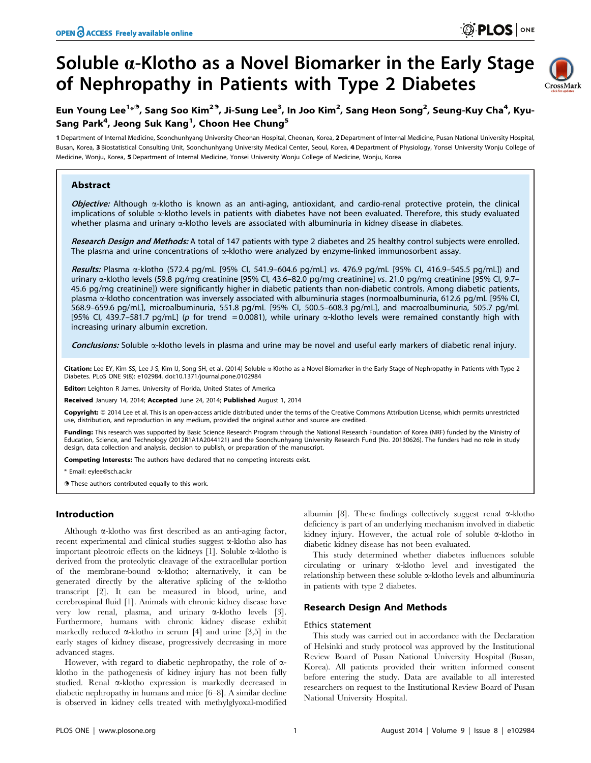# Soluble  $\alpha$ -Klotho as a Novel Biomarker in the Early Stage of Nephropathy in Patients with Type 2 Diabetes



## Eun Young Lee<sup>1<sub>\*</sub>9</sup>, Sang Soo Kim<sup>29</sup>, Ji-Sung Lee<sup>3</sup>, In Joo Kim<sup>2</sup>, Sang Heon Song<sup>2</sup>, Seung-Kuy Cha<sup>4</sup>, Kyu-Sang Park<sup>4</sup>, Jeong Suk Kang<sup>1</sup>, Choon Hee Chung<sup>5</sup>

1 Department of Internal Medicine, Soonchunhyang University Cheonan Hospital, Cheonan, Korea, 2Department of Internal Medicine, Pusan National University Hospital, Busan, Korea, 3 Biostatistical Consulting Unit, Soonchunhyang University Medical Center, Seoul, Korea, 4 Department of Physiology, Yonsei University Wonju College of Medicine, Wonju, Korea, 5 Department of Internal Medicine, Yonsei University Wonju College of Medicine, Wonju, Korea

## Abstract

Objective: Although  $\alpha$ -klotho is known as an anti-aging, antioxidant, and cardio-renal protective protein, the clinical implications of soluble a-klotho levels in patients with diabetes have not been evaluated. Therefore, this study evaluated whether plasma and urinary  $\alpha$ -klotho levels are associated with albuminuria in kidney disease in diabetes.

Research Design and Methods: A total of 147 patients with type 2 diabetes and 25 healthy control subjects were enrolled. The plasma and urine concentrations of  $\alpha$ -klotho were analyzed by enzyme-linked immunosorbent assay.

Results: Plasma a-klotho (572.4 pg/mL [95% CI, 541.9–604.6 pg/mL] vs. 476.9 pg/mL [95% CI, 416.9–545.5 pg/mL]) and urinary a-klotho levels (59.8 pg/mg creatinine [95% CI, 43.6–82.0 pg/mg creatinine] vs. 21.0 pg/mg creatinine [95% CI, 9.7– 45.6 pg/mg creatinine]) were significantly higher in diabetic patients than non-diabetic controls. Among diabetic patients, plasma a-klotho concentration was inversely associated with albuminuria stages (normoalbuminuria, 612.6 pg/mL [95% CI, 568.9–659.6 pg/mL], microalbuminuria, 551.8 pg/mL [95% CI, 500.5–608.3 pg/mL], and macroalbuminuria, 505.7 pg/mL [95% CI, 439.7–581.7 pg/mL] (p for trend = 0.0081), while urinary  $\alpha$ -klotho levels were remained constantly high with increasing urinary albumin excretion.

Conclusions: Soluble a-klotho levels in plasma and urine may be novel and useful early markers of diabetic renal injury.

Citation: Lee EY, Kim SS, Lee J-S, Kim IJ, Song SH, et al. (2014) Soluble a-Klotho as a Novel Biomarker in the Early Stage of Nephropathy in Patients with Type 2 Diabetes. PLoS ONE 9(8): e102984. doi:10.1371/journal.pone.0102984

Editor: Leighton R James, University of Florida, United States of America

Received January 14, 2014; Accepted June 24, 2014; Published August 1, 2014

Copyright: © 2014 Lee et al. This is an open-access article distributed under the terms of the [Creative Commons Attribution License,](http://creativecommons.org/licenses/by/4.0/) which permits unrestricted use, distribution, and reproduction in any medium, provided the original author and source are credited.

Funding: This research was supported by Basic Science Research Program through the National Research Foundation of Korea (NRF) funded by the Ministry of Education, Science, and Technology (2012R1A1A2044121) and the Soonchunhyang University Research Fund (No. 20130626). The funders had no role in study design, data collection and analysis, decision to publish, or preparation of the manuscript.

Competing Interests: The authors have declared that no competing interests exist.

\* Email: eylee@sch.ac.kr

**.** These authors contributed equally to this work.

## Introduction

Although  $\alpha$ -klotho was first described as an anti-aging factor, recent experimental and clinical studies suggest a-klotho also has important pleotroic effects on the kidneys [1]. Soluble  $\alpha$ -klotho is derived from the proteolytic cleavage of the extracellular portion of the membrane-bound a-klotho; alternatively, it can be generated directly by the alterative splicing of the  $\alpha$ -klotho transcript [2]. It can be measured in blood, urine, and cerebrospinal fluid [1]. Animals with chronic kidney disease have very low renal, plasma, and urinary a-klotho levels [3]. Furthermore, humans with chronic kidney disease exhibit markedly reduced  $\alpha$ -klotho in serum [4] and urine [3,5] in the early stages of kidney disease, progressively decreasing in more advanced stages.

However, with regard to diabetic nephropathy, the role of  $\alpha$ klotho in the pathogenesis of kidney injury has not been fully studied. Renal a-klotho expression is markedly decreased in diabetic nephropathy in humans and mice [6–8]. A similar decline is observed in kidney cells treated with methylglyoxal-modified

albumin [8]. These findings collectively suggest renal  $\alpha$ -klotho deficiency is part of an underlying mechanism involved in diabetic kidney injury. However, the actual role of soluble  $\alpha$ -klotho in diabetic kidney disease has not been evaluated.

This study determined whether diabetes influences soluble circulating or urinary a-klotho level and investigated the relationship between these soluble a-klotho levels and albuminuria in patients with type 2 diabetes.

## Research Design And Methods

#### Ethics statement

This study was carried out in accordance with the Declaration of Helsinki and study protocol was approved by the Institutional Review Board of Pusan National University Hospital (Busan, Korea). All patients provided their written informed consent before entering the study. Data are available to all interested researchers on request to the Institutional Review Board of Pusan National University Hospital.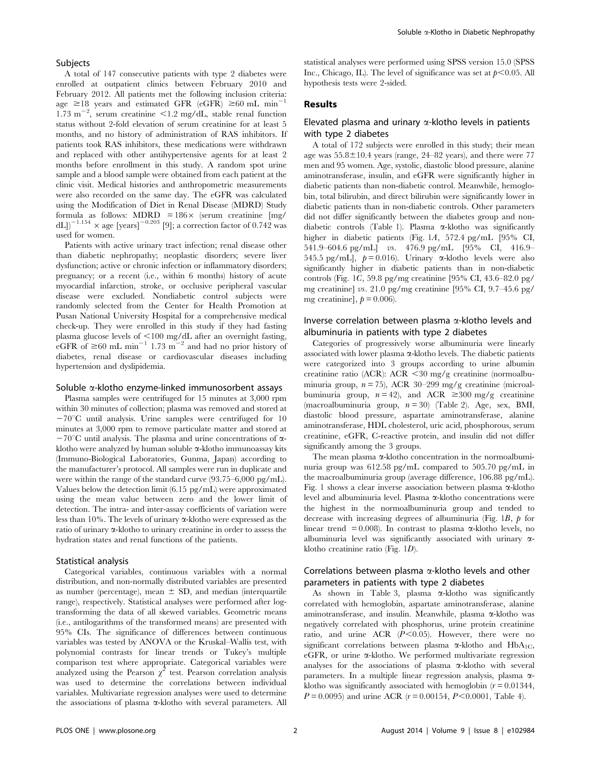#### Subjects

A total of 147 consecutive patients with type 2 diabetes were enrolled at outpatient clinics between February 2010 and February 2012. All patients met the following inclusion criteria: age  $\geq 18$  years and estimated GFR (eGFR)  $\geq 60$  mL min<sup>-1</sup>  $1.73 \text{ m}^{-2}$ , serum creatinine <1.2 mg/dL, stable renal function status without 2-fold elevation of serum creatinine for at least 5 months, and no history of administration of RAS inhibitors. If patients took RAS inhibitors, these medications were withdrawn and replaced with other antihypertensive agents for at least 2 months before enrollment in this study. A random spot urine sample and a blood sample were obtained from each patient at the clinic visit. Medical histories and anthropometric measurements were also recorded on the same day. The eGFR was calculated using the Modification of Diet in Renal Disease (MDRD) Study formula as follows:  $MDRD = 186 \times$  (serum creatinine [mg/ dL])<sup>-1.154</sup>  $\times$  age [years]<sup>-0.203</sup> [9]; a correction factor of 0.742 was used for women.

Patients with active urinary tract infection; renal disease other than diabetic nephropathy; neoplastic disorders; severe liver dysfunction; active or chronic infection or inflammatory disorders; pregnancy; or a recent (i.e., within 6 months) history of acute myocardial infarction, stroke, or occlusive peripheral vascular disease were excluded. Nondiabetic control subjects were randomly selected from the Center for Health Promotion at Pusan National University Hospital for a comprehensive medical check-up. They were enrolled in this study if they had fasting plasma glucose levels of <100 mg/dL after an overnight fasting, eGFR of  $\geq 60$  mL min<sup>-1</sup> 1.73 m<sup>-2</sup> and had no prior history of diabetes, renal disease or cardiovascular diseases including hypertension and dyslipidemia.

#### Soluble  $\alpha$ -klotho enzyme-linked immunosorbent assays

Plasma samples were centrifuged for 15 minutes at 3,000 rpm within 30 minutes of collection; plasma was removed and stored at  $-70^{\circ}$ C until analysis. Urine samples were centrifuged for 10 minutes at 3,000 rpm to remove particulate matter and stored at  $-70^{\circ}$ C until analysis. The plasma and urine concentrations of  $\alpha$ klotho were analyzed by human soluble  $\alpha$ -klotho immunoassay kits (Immuno-Biological Laboratories, Gunma, Japan) according to the manufacturer's protocol. All samples were run in duplicate and were within the range of the standard curve (93.75–6,000 pg/mL). Values below the detection limit (6.15 pg/mL) were approximated using the mean value between zero and the lower limit of detection. The intra- and inter-assay coefficients of variation were less than 10%. The levels of urinary  $\alpha$ -klotho were expressed as the ratio of urinary  $\alpha$ -klotho to urinary creatinine in order to assess the hydration states and renal functions of the patients.

#### Statistical analysis

Categorical variables, continuous variables with a normal distribution, and non-normally distributed variables are presented as number (percentage), mean  $\pm$  SD, and median (interquartile range), respectively. Statistical analyses were performed after logtransforming the data of all skewed variables. Geometric means (i.e., antilogarithms of the transformed means) are presented with 95% CIs. The significance of differences between continuous variables was tested by ANOVA or the Kruskal–Wallis test, with polynomial contrasts for linear trends or Tukey's multiple comparison test where appropriate. Categorical variables were analyzed using the Pearson  $\chi^2$  test. Pearson correlation analysis was used to determine the correlations between individual variables. Multivariate regression analyses were used to determine the associations of plasma  $\alpha$ -klotho with several parameters. All statistical analyses were performed using SPSS version 15.0 (SPSS Inc., Chicago, IL). The level of significance was set at  $p<0.05$ . All hypothesis tests were 2-sided.

#### Results

## Elevated plasma and urinary  $\alpha$ -klotho levels in patients with type 2 diabetes

A total of 172 subjects were enrolled in this study; their mean age was  $55.8 \pm 10.4$  years (range, 24–82 years), and there were 77 men and 95 women. Age, systolic, diastolic blood pressure, alanine aminotransferase, insulin, and eGFR were significantly higher in diabetic patients than non-diabetic control. Meanwhile, hemoglobin, total bilirubin, and direct bilirubin were significantly lower in diabetic patients than in non-diabetic controls. Other parameters did not differ significantly between the diabetes group and nondiabetic controls (Table 1). Plasma  $\alpha$ -klotho was significantly higher in diabetic patients (Fig. 1A, 572.4 pg/mL [95% CI, 541.9–604.6 pg/mL] vs. 476.9 pg/mL [95% CI, 416.9– 545.5 pg/mL],  $p = 0.016$ . Urinary  $\alpha$ -klotho levels were also significantly higher in diabetic patients than in non-diabetic controls (Fig. 1C, 59.8 pg/mg creatinine [95% CI, 43.6–82.0 pg/ mg creatinine] vs. 21.0 pg/mg creatinine [95% CI, 9.7–45.6 pg/ mg creatinine],  $p = 0.006$ .

## Inverse correlation between plasma a-klotho levels and albuminuria in patients with type 2 diabetes

Categories of progressively worse albuminuria were linearly associated with lower plasma  $\alpha$ -klotho levels. The diabetic patients were categorized into 3 groups according to urine albumin creatinine ratio (ACR): ACR  $\leq$  30 mg/g creatinine (normoalbuminuria group,  $n = 75$ ), ACR 30-299 mg/g creatinine (microalbuminuria group,  $n = 42$ , and ACR  $\geq 300$  mg/g creatinine (macroalbuminuria group, n= 30) (Table 2). Age, sex, BMI, diastolic blood pressure, aspartate aminotransferase, alanine aminotransferase, HDL cholesterol, uric acid, phosphorous, serum creatinine, eGFR, C-reactive protein, and insulin did not differ significantly among the 3 groups.

The mean plasma  $\alpha$ -klotho concentration in the normoalbuminuria group was 612.58 pg/mL compared to 505.70 pg/mL in the macroalbuminuria group (average difference, 106.88 pg/mL). Fig. 1 shows a clear inverse association between plasma  $\alpha$ -klotho level and albuminuria level. Plasma a-klotho concentrations were the highest in the normoalbuminuria group and tended to decrease with increasing degrees of albuminuria (Fig. 1 $B$ ,  $\dot{p}$  for linear trend = 0.008). In contrast to plasma  $\alpha$ -klotho levels, no albuminuria level was significantly associated with urinary aklotho creatinine ratio (Fig. 1D).

### Correlations between plasma  $\alpha$ -klotho levels and other parameters in patients with type 2 diabetes

As shown in Table 3, plasma  $\alpha$ -klotho was significantly correlated with hemoglobin, aspartate aminotransferase, alanine aminotransferase, and insulin. Meanwhile, plasma  $\alpha$ -klotho was negatively correlated with phosphorus, urine protein creatinine ratio, and urine ACR  $(P<0.05)$ . However, there were no significant correlations between plasma  $\alpha$ -klotho and HbA<sub>1C</sub>, eGFR, or urine  $\alpha$ -klotho. We performed multivariate regression analyses for the associations of plasma  $\alpha$ -klotho with several parameters. In a multiple linear regression analysis, plasma  $\alpha$ klotho was significantly associated with hemoglobin  $(r=0.01344,$  $P = 0.0095$  and urine ACR ( $r = 0.00154$ ,  $P < 0.0001$ , Table 4).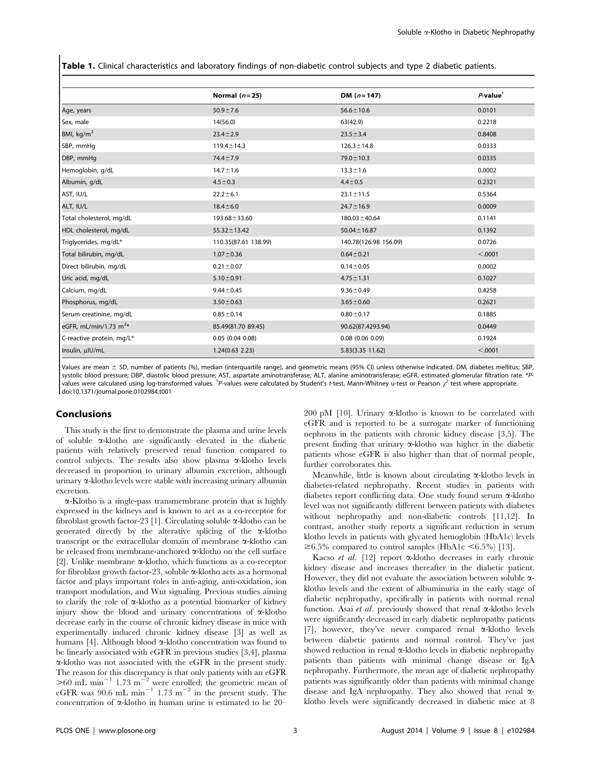Table 1. Clinical characteristics and laboratory findings of non-diabetic control subjects and type 2 diabetic patients.

|                            | Normal $(n=25)$      | DM $(n=147)$          | $P$ -value <sup>†</sup> |
|----------------------------|----------------------|-----------------------|-------------------------|
| Age, years                 | $50.9 + 7.6$         | $56.6 \pm 10.6$       | 0.0101                  |
| Sex, male                  | 14(56.0)             | 63(42.9)              | 0.2218                  |
| BMI, $\text{kg/m}^2$       | $23.4 \pm 2.9$       | $23.5 \pm 3.4$        | 0.8408                  |
| SBP, mmHg                  | $119.4 \pm 14.3$     | $126.3 \pm 14.8$      | 0.0333                  |
| DBP, mmHg                  | $74.4 \pm 7.9$       | $79.0 \pm 10.3$       | 0.0335                  |
| Hemoglobin, g/dL           | $14.7 \pm 1.6$       | $13.3 \pm 1.6$        | 0.0002                  |
| Albumin, g/dL              | $4.5 \pm 0.3$        | $4.4 + 0.5$           | 0.2321                  |
| AST, IU/L                  | $22.2 \pm 6.1$       | $23.1 \pm 11.5$       | 0.5364                  |
| ALT, IU/L                  | $18.4 \pm 6.0$       | $24.7 \pm 16.9$       | 0.0009                  |
| Total cholesterol, mg/dL   | 193.68 ± 33.60       | $180.03 \pm 40.64$    | 0.1141                  |
| HDL cholesterol, mg/dL     | $55.32 \pm 13.42$    | $50.04 \pm 16.87$     | 0.1392                  |
| Triglycerides, mg/dL*      | 110.35(87.61 138.99) | 140.78(126.98 156.09) | 0.0726                  |
| Total bilirubin, mg/dL     | $1.07 \pm 0.36$      | $0.64 \pm 0.21$       | < .0001                 |
| Direct bilirubin, mg/dL    | $0.21 \pm 0.07$      | $0.14 \pm 0.05$       | 0.0002                  |
| Uric acid, mg/dL           | $5.10 \pm 0.91$      | $4.75 \pm 1.31$       | 0.1027                  |
| Calcium, mg/dL             | $9.44 \pm 0.45$      | $9.36 \pm 0.49$       | 0.4258                  |
| Phosphorus, mg/dL          | $3.50 \pm 0.63$      | $3.65 \pm 0.60$       | 0.2621                  |
| Serum creatinine, mg/dL    | $0.85 \pm 0.14$      | $0.80 \pm 0.17$       | 0.1885                  |
| eGFR, mL/min/1.73 $m^{2*}$ | 85.49(81.70 89.45)   | 90.62(87.4293.94)     | 0.0449                  |
| C-reactive protein, mg/L*  | $0.05$ (0.04 0.08)   | $0.08$ $(0.06 0.09)$  | 0.1924                  |
| Insulin, µlU/mL            | 1.24(0.63 2.23)      | 5.83(3.35 11.62)      | < .0001                 |

Values are mean ± SD, number of patients (%), median (interquartile range), and geometric means (95% CI) unless otherwise indicated. DM, diabetes mellitus; SBP, systolic blood pressure; DBP, diastolic blood pressure; AST, aspartate aminotransferase; ALT, alanine aminotransferase; eGFR, estimated glomerular filtration rate. \*Pvalues were calculated using log-transformed values. <sup>†</sup>P-values were calculated by Student's t-test, Mann-Whitney u-test or Pearson  $\chi^2$  test where appropriate. doi:10.1371/journal.pone.0102984.t001

#### Conclusions

This study is the first to demonstrate the plasma and urine levels of soluble a-klotho are significantly elevated in the diabetic patients with relatively preserved renal function compared to control subjects. The results also show plasma  $\alpha$ -klotho levels decreased in proportion to urinary albumin excretion, although urinary  $\alpha$ -klotho levels were stable with increasing urinary albumin excretion.

a-Klotho is a single-pass transmembrane protein that is highly expressed in the kidneys and is known to act as a co-receptor for fibroblast growth factor-23 [1]. Circulating soluble  $\alpha$ -klotho can be generated directly by the alterative splicing of the  $\alpha$ -klotho transcript or the extracellular domain of membrane a-klotho can be released from membrane-anchored a-klotho on the cell surface [2]. Unlike membrane  $\alpha$ -klotho, which functions as a co-receptor for fibroblast growth factor-23, soluble  $\alpha$ -klotho acts as a hormonal factor and plays important roles in anti-aging, anti-oxidation, ion transport modulation, and Wnt signaling. Previous studies aiming to clarify the role of  $\alpha$ -klotho as a potential biomarker of kidney injury show the blood and urinary concentrations of  $\alpha$ -klotho decrease early in the course of chronic kidney disease in mice with experimentally induced chronic kidney disease [3] as well as humans [4]. Although blood  $\alpha$ -klotho concentration was found to be linearly associated with eGFR in previous studies [3,4], plasma a-klotho was not associated with the eGFR in the present study. The reason for this discrepancy is that only patients with an eGFR  $>60$  mL min<sup>-1</sup> 1.73 m<sup>-2</sup> were enrolled; the geometric mean of eGFR was 90.6 mL min<sup>-1</sup> 1.73 m<sup>-2</sup> in the present study. The concentration of  $\alpha$ -klotho in human urine is estimated to be 20–

200 pM  $[10]$ . Urinary  $\alpha$ -klotho is known to be correlated with eGFR and is reported to be a surrogate marker of functioning nephrons in the patients with chronic kidney disease [3,5]. The present finding that urinary  $\alpha$ -klotho was higher in the diabetic patients whose eGFR is also higher than that of normal people, further corroborates this.

Meanwhile, little is known about circulating  $\alpha$ -klotho levels in diabetes-related nephropathy. Recent studies in patients with diabetes report conflicting data. One study found serum  $\alpha$ -klotho level was not significantly different between patients with diabetes without nephropathy and non-diabetic controls [11,12]. In contrast, another study reports a significant reduction in serum klotho levels in patients with glycated hemoglobin (HbA1c) levels  $\geq 6.5\%$  compared to control samples (HbA1c <6.5%) [13].

Kacso et al. [12] report  $\alpha$ -klotho decreases in early chronic kidney disease and increases thereafter in the diabetic patient. However, they did not evaluate the association between soluble  $\alpha$ klotho levels and the extent of albuminuria in the early stage of diabetic nephropathy, specifically in patients with normal renal function. Asai et al. previously showed that renal  $\alpha$ -klotho levels were significantly decreased in early diabetic nephropathy patients [7], however, they've never compared renal  $\alpha$ -klotho levels between diabetic patients and normal control. They've just showed reduction in renal  $\alpha$ -klotho levels in diabetic nephropathy patients than patients with minimal change disease or IgA nephropathy. Furthermore, the mean age of diabetic nephropathy patients was significantly older than patients with minimal change disease and IgA nephropathy. They also showed that renal  $\alpha$ klotho levels were significantly decreased in diabetic mice at 8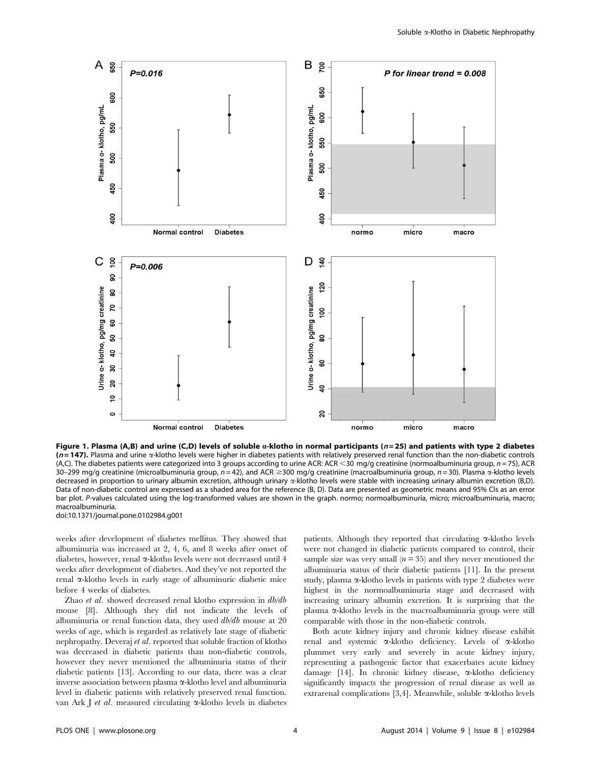

Figure 1. Plasma (A,B) and urine (C,D) levels of soluble  $a$ -klotho in normal participants ( $n=25$ ) and patients with type 2 diabetes  $(n=147)$ . Plasma and urine  $\alpha$ -klotho levels were higher in diabetes patients with relatively preserved renal function than the non-diabetic controls (A,C). The diabetes patients were categorized into 3 groups according to urine ACR: ACR <30 mg/g creatinine (normoalbuminuria group,  $n = 75$ ), ACR 30–299 mg/g creatinine (microalbuminuria group,  $n = 42$ ), and ACR ≥300 mg/g creatinine (macroalbuminuria group,  $n = 30$ ). Plasma  $\alpha$ -klotho levels decreased in proportion to urinary albumin excretion, although urinary a-klotho levels were stable with increasing urinary albumin excretion (B,D). Data of non-diabetic control are expressed as a shaded area for the reference (B, D). Data are presented as geometric means and 95% CIs as an error bar plot. P-values calculated using the log-transformed values are shown in the graph. normo; normoalbuminuria, micro; microalbuminuria, macro; macroalbuminuria. doi:10.1371/journal.pone.0102984.g001

weeks after development of diabetes mellitus. They showed that albuminuria was increased at 2, 4, 6, and 8 weeks after onset of

diabetes, however, renal  $\alpha$ -klotho levels were not decreased until 4 weeks after development of diabetes. And they've not reported the renal a-klotho levels in early stage of albuminuric diabetic mice before 4 weeks of diabetes.

Zhao et al. showed decreased renal klotho expression in db/db mouse [8]. Although they did not indicate the levels of albuminuria or renal function data, they used  $db/db$  mouse at 20 weeks of age, which is regarded as relatively late stage of diabetic nephropathy. Deveraj et al. reported that soluble fraction of klotho was decreased in diabetic patients than non-diabetic controls, however they never mentioned the albuminuria status of their diabetic patients [13]. According to our data, there was a clear inverse association between plasma a-klotho level and albuminuria level in diabetic patients with relatively preserved renal function. van Ark J et al. measured circulating  $\alpha$ -klotho levels in diabetes patients. Although they reported that circulating  $\alpha$ -klotho levels were not changed in diabetic patients compared to control, their sample size was very small  $(n=35)$  and they never mentioned the albuminuria status of their diabetic patients [11]. In the present study, plasma  $\alpha$ -klotho levels in patients with type 2 diabetes were highest in the normoalbuminuria stage and decreased with increasing urinary albumin excretion. It is surprising that the plasma a-klotho levels in the macroalbuminuria group were still comparable with those in the non-diabetic controls.

Both acute kidney injury and chronic kidney disease exhibit renal and systemic a-klotho deficiency. Levels of a-klotho plummet very early and severely in acute kidney injury, representing a pathogenic factor that exacerbates acute kidney damage [14]. In chronic kidney disease, a-klotho deficiency significantly impacts the progression of renal disease as well as extrarenal complications [3,4]. Meanwhile, soluble  $\alpha$ -klotho levels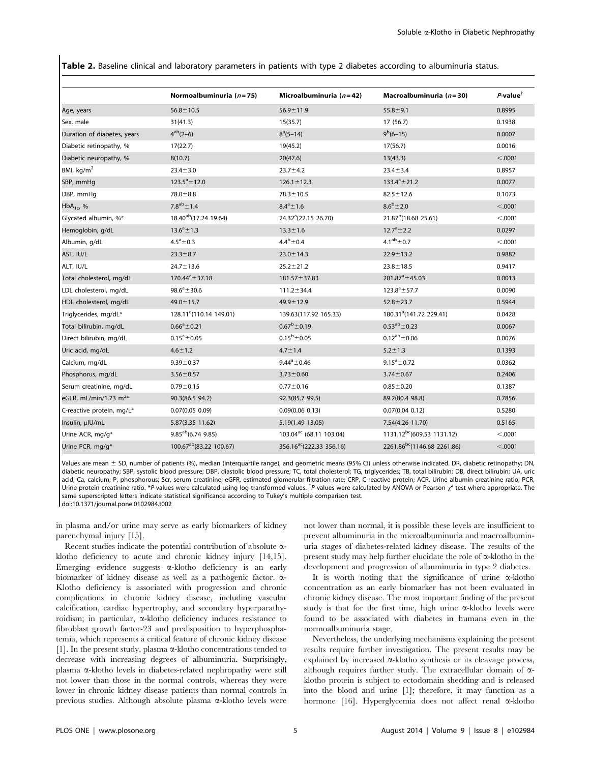Table 2. Baseline clinical and laboratory parameters in patients with type 2 diabetes according to albuminuria status.

|                             | Normoalbuminuria $(n=75)$           | Microalbuminuria $(n=42)$            | Macroalbuminuria ( $n = 30$ )           | $P$ -value $^{\dagger}$ |
|-----------------------------|-------------------------------------|--------------------------------------|-----------------------------------------|-------------------------|
| Age, years                  | $56.8 \pm 10.5$                     | $56.9 \pm 11.9$                      | $55.8 + 9.1$                            | 0.8995                  |
| Sex, male                   | 31(41.3)                            | 15(35.7)                             | 17 (56.7)                               | 0.1938                  |
| Duration of diabetes, years | $4^{ab}(2-6)$                       | $8^a(5-14)$                          | $9^b(6-15)$                             | 0.0007                  |
| Diabetic retinopathy, %     | 17(22.7)                            | 19(45.2)                             | 17(56.7)                                | 0.0016                  |
| Diabetic neuropathy, %      | 8(10.7)                             | 20(47.6)                             | 13(43.3)                                | < .0001                 |
| BMI, $kg/m2$                | $23.4 \pm 3.0$                      | $23.7 + 4.2$                         | $23.4 \pm 3.4$                          | 0.8957                  |
| SBP, mmHg                   | $123.5^a \pm 12.0$                  | $126.1 \pm 12.3$                     | $133.4^a \pm 21.2$                      | 0.0077                  |
| DBP, mmHq                   | $78.0 \pm 8.8$                      | $78.3 \pm 10.5$                      | $82.5 \pm 12.6$                         | 0.1073                  |
| $HbA_{1c}$ , %              | $7.8^{ab} \pm 1.4$                  | $8.4^{\circ}$ ± 1.6                  | $8.6^{b} \pm 2.0$                       | < .0001                 |
| Glycated albumin, %*        | 18.40 <sup>ab</sup> (17.24 19.64)   | 24.32 <sup>a</sup> (22.15 26.70)     | 21.87 <sup>b</sup> (18.68 25.61)        | < .0001                 |
| Hemoglobin, g/dL            | $13.6^a \pm 1.3$                    | $13.3 \pm 1.6$                       | $12.7^{\circ}$ $\pm$ 2.2                | 0.0297                  |
| Albumin, g/dL               | $4.5^a \pm 0.3$                     | $4.4^{b} \pm 0.4$                    | $4.1^{ab}$ ± 0.7                        | < .0001                 |
| AST, IU/L                   | $23.3 \pm 8.7$                      | $23.0 \pm 14.3$                      | $22.9 \pm 13.2$                         | 0.9882                  |
| ALT, IU/L                   | $24.7 \pm 13.6$                     | $25.2 \pm 21.2$                      | $23.8 \pm 18.5$                         | 0.9417                  |
| Total cholesterol, mg/dL    | $170.44^{\circ}$ ± 37.18            | $181.57 \pm 37.83$                   | 201.87 $^{\circ}$ ±45.03                | 0.0013                  |
| LDL cholesterol, mg/dL      | $98.6^a \pm 30.6$                   | $111.2 \pm 34.4$                     | $123.8^a \pm 57.7$                      | 0.0090                  |
| HDL cholesterol, mg/dL      | $49.0 \pm 15.7$                     | $49.9 \pm 12.9$                      | $52.8 \pm 23.7$                         | 0.5944                  |
| Triglycerides, mg/dL*       | 128.11 <sup>a</sup> (110.14 149.01) | 139.63(117.92 165.33)                | 180.31 <sup>a</sup> (141.72 229.41)     | 0.0428                  |
| Total bilirubin, mg/dL      | $0.66^a \pm 0.21$                   | $0.67^b \pm 0.19$                    | $0.53^{ab}$ ± 0.23                      | 0.0067                  |
| Direct bilirubin, mg/dL     | $0.15^a \pm 0.05$                   | $0.15^b \pm 0.05$                    | $0.12^{ab} \pm 0.06$                    | 0.0076                  |
| Uric acid, mg/dL            | $4.6 \pm 1.2$                       | $4.7 \pm 1.4$                        | $5.2 \pm 1.3$                           | 0.1393                  |
| Calcium, mg/dL              | $9.39 \pm 0.37$                     | $9.44^a \pm 0.46$                    | $9.15^a \pm 0.72$                       | 0.0362                  |
| Phosphorus, mg/dL           | $3.56 \pm 0.57$                     | $3.73 \pm 0.60$                      | $3.74 \pm 0.67$                         | 0.2406                  |
| Serum creatinine, mg/dL     | $0.79 \pm 0.15$                     | $0.77 \pm 0.16$                      | $0.85 \pm 0.20$                         | 0.1387                  |
| eGFR, mL/min/1.73 $m^{2*}$  | 90.3(86.5 94.2)                     | 92.3(85.7 99.5)                      | 89.2(80.4 98.8)                         | 0.7856                  |
| C-reactive protein, mg/L*   | 0.07(0.05 0.09)                     | 0.09(0.06 0.13)                      | 0.07(0.04 0.12)                         | 0.5280                  |
| Insulin, µlU/mL             | 5.87(3.35 11.62)                    | 5.19(1.49 13.05)                     | 7.54(4.26 11.70)                        | 0.5165                  |
| Urine ACR, mg/g*            | $9.85^{ab}(6.749.85)$               | 103.04 <sup>ac</sup> (68.11 103.04)  | 1131.12 <sup>bc</sup> (609.53 1131.12)  | < .0001                 |
| Urine PCR, mg/g*            | 100.67 <sup>ab</sup> (83.22 100.67) | 356.16 <sup>ac</sup> (222.33 356.16) | 2261.86 <sup>bc</sup> (1146.68 2261.86) | < .0001                 |

Values are mean  $\pm$  SD, number of patients (%), median (interquartile range), and geometric means (95% CI) unless otherwise indicated. DR, diabetic retinopathy; DN, diabetic neuropathy; SBP, systolic blood pressure; DBP, diastolic blood pressure; TC, total cholesterol; TG, triglycerides; TB, total bilirubin; DB, direct bilirubin; UA, uric acid; Ca, calcium; P, phosphorous; Scr, serum creatinine; eGFR, estimated glomerular filtration rate; CRP, C-reactive protein; ACR, Urine albumin creatinine ratio; PCR, Urine protein creatinine ratio. \*P-values were calculated using log-transformed values. <sup>†</sup>P-values were calculated by ANOVA or Pearson  $\chi^2$  test where appropriate. The same superscripted letters indicate statistical significance according to Tukey's multiple comparison test. doi:10.1371/journal.pone.0102984.t002

in plasma and/or urine may serve as early biomarkers of kidney parenchymal injury [15].

Recent studies indicate the potential contribution of absolute aklotho deficiency to acute and chronic kidney injury [14,15]. Emerging evidence suggests  $\alpha$ -klotho deficiency is an early biomarker of kidney disease as well as a pathogenic factor.  $\alpha$ -Klotho deficiency is associated with progression and chronic complications in chronic kidney disease, including vascular calcification, cardiac hypertrophy, and secondary hyperparathyroidism; in particular,  $\alpha$ -klotho deficiency induces resistance to fibroblast growth factor-23 and predisposition to hyperphosphatemia, which represents a critical feature of chronic kidney disease [1]. In the present study, plasma  $\alpha$ -klotho concentrations tended to decrease with increasing degrees of albuminuria. Surprisingly, plasma a-klotho levels in diabetes-related nephropathy were still not lower than those in the normal controls, whereas they were lower in chronic kidney disease patients than normal controls in previous studies. Although absolute plasma  $\alpha$ -klotho levels were not lower than normal, it is possible these levels are insufficient to prevent albuminuria in the microalbuminuria and macroalbuminuria stages of diabetes-related kidney disease. The results of the present study may help further elucidate the role of  $\alpha$ -klotho in the development and progression of albuminuria in type 2 diabetes.

It is worth noting that the significance of urine  $\alpha$ -klotho concentration as an early biomarker has not been evaluated in chronic kidney disease. The most important finding of the present study is that for the first time, high urine  $\alpha$ -klotho levels were found to be associated with diabetes in humans even in the normoalbuminuria stage.

Nevertheless, the underlying mechanisms explaining the present results require further investigation. The present results may be explained by increased  $\alpha$ -klotho synthesis or its cleavage process, although requires further study. The extracellular domain of  $\alpha$ klotho protein is subject to ectodomain shedding and is released into the blood and urine [1]; therefore, it may function as a hormone [16]. Hyperglycemia does not affect renal  $\alpha$ -klotho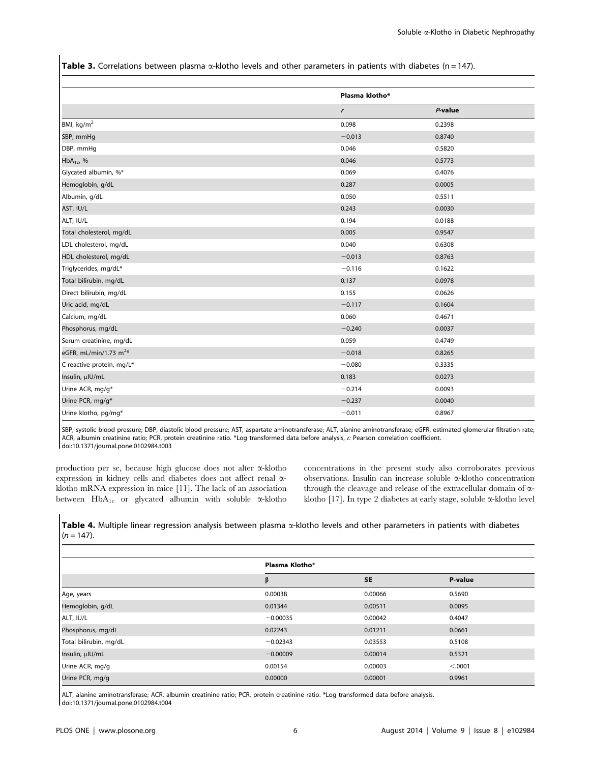Table 3. Correlations between plasma  $\alpha$ -klotho levels and other parameters in patients with diabetes (n = 147).

|                            | Plasma klotho* |            |
|----------------------------|----------------|------------|
|                            | $\mathbf{r}$   | $P$ -value |
| BMI, $kg/m2$               | 0.098          | 0.2398     |
| SBP, mmHg                  | $-0.013$       | 0.8740     |
| DBP, mmHg                  | 0.046          | 0.5820     |
| $HbA_{1c}$ , %             | 0.046          | 0.5773     |
| Glycated albumin, %*       | 0.069          | 0.4076     |
| Hemoglobin, g/dL           | 0.287          | 0.0005     |
| Albumin, g/dL              | 0.050          | 0.5511     |
| AST, IU/L                  | 0.243          | 0.0030     |
| ALT, IU/L                  | 0.194          | 0.0188     |
| Total cholesterol, mg/dL   | 0.005          | 0.9547     |
| LDL cholesterol, mg/dL     | 0.040          | 0.6308     |
| HDL cholesterol, mg/dL     | $-0.013$       | 0.8763     |
| Triglycerides, mg/dL*      | $-0.116$       | 0.1622     |
| Total bilirubin, mg/dL     | 0.137          | 0.0978     |
| Direct bilirubin, mg/dL    | 0.155          | 0.0626     |
| Uric acid, mg/dL           | $-0.117$       | 0.1604     |
| Calcium, mg/dL             | 0.060          | 0.4671     |
| Phosphorus, mg/dL          | $-0.240$       | 0.0037     |
| Serum creatinine, mg/dL    | 0.059          | 0.4749     |
| eGFR, mL/min/1.73 $m^{2*}$ | $-0.018$       | 0.8265     |
| C-reactive protein, mg/L*  | $-0.080$       | 0.3335     |
| Insulin, µlU/mL            | 0.183          | 0.0273     |
| Urine ACR, mg/g*           | $-0.214$       | 0.0093     |
| Urine PCR, mg/g*           | $-0.237$       | 0.0040     |
| Urine klotho, pg/mg*       | $-0.011$       | 0.8967     |

SBP, systolic blood pressure; DBP, diastolic blood pressure; AST, aspartate aminotransferase; ALT, alanine aminotransferase; eGFR, estimated glomerular filtration rate; ACR, albumin creatinine ratio; PCR, protein creatinine ratio. \*Log transformed data before analysis, r: Pearson correlation coefficient. doi:10.1371/journal.pone.0102984.t003

production per se, because high glucose does not alter a-klotho expression in kidney cells and diabetes does not affect renal aklotho mRNA expression in mice [11]. The lack of an association between  $HbA_{1c}$  or glycated albumin with soluble  $\alpha$ -klotho concentrations in the present study also corroborates previous observations. Insulin can increase soluble a-klotho concentration through the cleavage and release of the extracellular domain of aklotho [17]. In type 2 diabetes at early stage, soluble a-klotho level

Table 4. Multiple linear regression analysis between plasma  $\alpha$ -klotho levels and other parameters in patients with diabetes  $(n = 147)$ .

|                        | Plasma Klotho* |           |          |
|------------------------|----------------|-----------|----------|
|                        | β              | <b>SE</b> | P-value  |
| Age, years             | 0.00038        | 0.00066   | 0.5690   |
| Hemoglobin, g/dL       | 0.01344        | 0.00511   | 0.0095   |
| ALT, IU/L              | $-0.00035$     | 0.00042   | 0.4047   |
| Phosphorus, mg/dL      | 0.02243        | 0.01211   | 0.0661   |
| Total bilirubin, mg/dL | $-0.02343$     | 0.03553   | 0.5108   |
| Insulin, µlU/mL        | $-0.00009$     | 0.00014   | 0.5321   |
| Urine ACR, mg/g        | 0.00154        | 0.00003   | < 0.0001 |
| Urine PCR, mg/g        | 0.00000        | 0.00001   | 0.9961   |

ALT, alanine aminotransferase; ACR, albumin creatinine ratio; PCR, protein creatinine ratio. \*Log transformed data before analysis. doi:10.1371/journal.pone.0102984.t004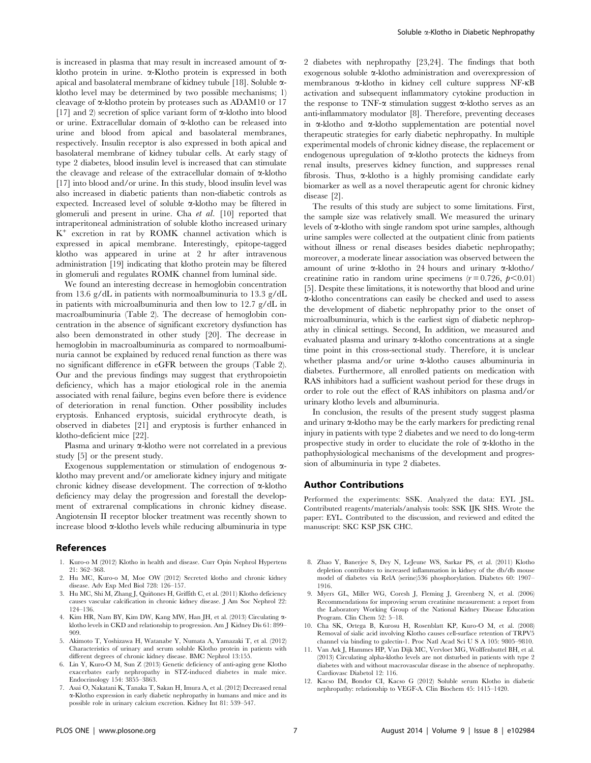is increased in plasma that may result in increased amount of  $\alpha$ klotho protein in urine. a-Klotho protein is expressed in both apical and basolateral membrane of kidney tubule [18]. Soluble  $\alpha$ klotho level may be determined by two possible mechanisms; 1) cleavage of  $\alpha$ -klotho protein by proteases such as ADAM10 or 17 [17] and 2) secretion of splice variant form of  $\alpha$ -klotho into blood or urine. Extracellular domain of  $\alpha$ -klotho can be released into urine and blood from apical and basolateral membranes, respectively. Insulin receptor is also expressed in both apical and basolateral membrane of kidney tubular cells. At early stagy of type 2 diabetes, blood insulin level is increased that can stimulate the cleavage and release of the extracellular domain of  $\alpha$ -klotho [17] into blood and/or urine. In this study, blood insulin level was also increased in diabetic patients than non-diabetic controls as expected. Increased level of soluble a-klotho may be filtered in glomeruli and present in urine. Cha et al. [10] reported that intraperitoneal administration of soluble klotho increased urinary  $K^+$  excretion in rat by ROMK channel activation which is expressed in apical membrane. Interestingly, epitope-tagged klotho was appeared in urine at 2 hr after intravenous administration [19] indicating that klotho protein may be filtered in glomeruli and regulates ROMK channel from luminal side.

We found an interesting decrease in hemoglobin concentration from 13.6 g/dL in patients with normoalbuminuria to 13.3 g/dL in patients with microalbuminuria and then low to 12.7 g/dL in macroalbuminuria (Table 2). The decrease of hemoglobin concentration in the absence of significant excretory dysfunction has also been demonstrated in other study [20]. The decrease in hemoglobin in macroalbuminuria as compared to normoalbuminuria cannot be explained by reduced renal function as there was no significant difference in eGFR between the groups (Table 2). Our and the previous findings may suggest that erythropoietin deficiency, which has a major etiological role in the anemia associated with renal failure, begins even before there is evidence of deterioration in renal function. Other possibility includes eryptosis. Enhanced eryptosis, suicidal erythrocyte death, is observed in diabetes [21] and eryptosis is further enhanced in klotho-deficient mice [22].

Plasma and urinary  $\alpha$ -klotho were not correlated in a previous study [5] or the present study.

Exogenous supplementation or stimulation of endogenous aklotho may prevent and/or ameliorate kidney injury and mitigate chronic kidney disease development. The correction of  $\alpha$ -klotho deficiency may delay the progression and forestall the development of extrarenal complications in chronic kidney disease. Angiotensin II receptor blocker treatment was recently shown to increase blood a-klotho levels while reducing albuminuria in type

#### References

- 1. Kuro-o M (2012) Klotho in health and disease. Curr Opin Nephrol Hypertens 21: 362–368.
- 2. Hu MC, Kuro-o M, Moe OW (2012) Secreted klotho and chronic kidney disease. Adv Exp Med Biol 728: 126–157.
- 3. Hu MC, Shi M, Zhang J, Quiñones H, Griffith C, et al. (2011) Klotho deficiency causes vascular calcification in chronic kidney disease. J Am Soc Nephrol 22: 124–136.
- 4. Kim HR, Nam BY, Kim DW, Kang MW, Han JH, et al. (2013) Circulating aklotho levels in CKD and relationship to progression. Am J Kidney Dis 61: 899– 909.
- 5. Akimoto T, Yoshizawa H, Watanabe Y, Numata A, Yamazaki T, et al. (2012) Characteristics of urinary and serum soluble Klotho protein in patients with different degrees of chronic kidney disease. BMC Nephrol 13:155.
- 6. Lin Y, Kuro-O M, Sun Z (2013) Genetic deficiency of anti-aging gene Klotho exacerbates early nephropathy in STZ-induced diabetes in male mice. Endocrinology 154: 3855–3863.
- 7. Asai O, Nakatani K, Tanaka T, Sakan H, Imura A, et al. (2012) Decreased renal a-Klotho expression in early diabetic nephropathy in humans and mice and its possible role in urinary calcium excretion. Kidney Int 81: 539–547.

2 diabetes with nephropathy [23,24]. The findings that both exogenous soluble a-klotho administration and overexpression of membranous a-klotho in kidney cell culture suppress NF-kB activation and subsequent inflammatory cytokine production in the response to TNF- $\alpha$  stimulation suggest  $\alpha$ -klotho serves as an anti-inflammatory modulator [8]. Therefore, preventing deceases in  $\alpha$ -klotho and  $\alpha$ -klotho supplementation are potential novel therapeutic strategies for early diabetic nephropathy. In multiple experimental models of chronic kidney disease, the replacement or endogenous upregulation of a-klotho protects the kidneys from renal insults, preserves kidney function, and suppresses renal fibrosis. Thus,  $\alpha$ -klotho is a highly promising candidate early biomarker as well as a novel therapeutic agent for chronic kidney disease [2].

The results of this study are subject to some limitations. First, the sample size was relatively small. We measured the urinary levels of  $\alpha$ -klotho with single random spot urine samples, although urine samples were collected at the outpatient clinic from patients without illness or renal diseases besides diabetic nephropathy; moreover, a moderate linear association was observed between the amount of urine a-klotho in 24 hours and urinary a-klotho/ creatinine ratio in random urine specimens  $(r=0.726, p<0.01)$ [5]. Despite these limitations, it is noteworthy that blood and urine a-klotho concentrations can easily be checked and used to assess the development of diabetic nephropathy prior to the onset of microalbuminuria, which is the earliest sign of diabetic nephropathy in clinical settings. Second, In addition, we measured and evaluated plasma and urinary a-klotho concentrations at a single time point in this cross-sectional study. Therefore, it is unclear whether plasma and/or urine  $\alpha$ -klotho causes albuminuria in diabetes. Furthermore, all enrolled patients on medication with RAS inhibitors had a sufficient washout period for these drugs in order to role out the effect of RAS inhibitors on plasma and/or urinary klotho levels and albuminuria.

In conclusion, the results of the present study suggest plasma and urinary a-klotho may be the early markers for predicting renal injury in patients with type 2 diabetes and we need to do long-term prospective study in order to elucidate the role of a-klotho in the pathophysiological mechanisms of the development and progression of albuminuria in type 2 diabetes.

#### Author Contributions

Performed the experiments: SSK. Analyzed the data: EYL JSL. Contributed reagents/materials/analysis tools: SSK IJK SHS. Wrote the paper: EYL. Contributed to the discussion, and reviewed and edited the manuscript: SKC KSP JSK CHC.

- 8. Zhao Y, Banerjee S, Dey N, LeJeune WS, Sarkar PS, et al. (2011) Klotho depletion contributes to increased inflammation in kidney of the db/db mouse model of diabetes via RelA (serine)536 phosphorylation. Diabetes 60: 1907– 1916.
- 9. Myers GL, Miller WG, Coresh J, Fleming J, Greenberg N, et al. (2006) Recommendations for improving serum creatinine measurement: a report from the Laboratory Working Group of the National Kidney Disease Education Program. Clin Chem 52: 5–18.
- 10. Cha SK, Ortega B, Kurosu H, Rosenblatt KP, Kuro-O M, et al. (2008) Removal of sialic acid involving Klotho causes cell-surface retention of TRPV5 channel via binding to galectin-1. Proc Natl Acad Sci U S A 105: 9805–9810.
- 11. Van Ark J, Hammes HP, Van Dijk MC, Vervloet MG, Wolffenbuttel BH, et al. (2013) Circulating alpha-klotho levels are not disturbed in patients with type 2 diabetes with and without macrovascular disease in the absence of nephropathy. Cardiovasc Diabetol 12: 116.
- 12. Kacso IM, Bondor CI, Kacso G (2012) Soluble serum Klotho in diabetic nephropathy: relationship to VEGF-A. Clin Biochem 45: 1415–1420.